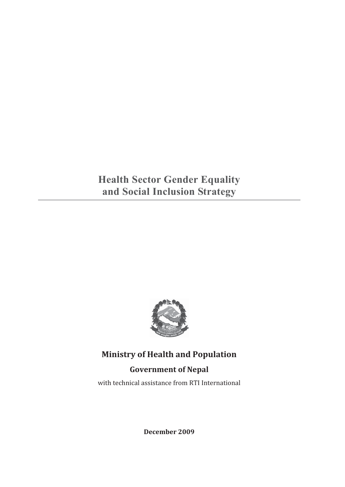# **Health Sector Gender Equality and Social Inclusion Strategy**



**Ministry of Health and Population**

## **Government of Nepal**

with technical assistance from RTI International

**December 2009**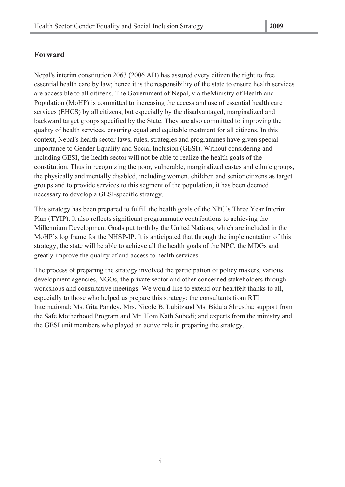## **Forward**

Nepal's interim constitution 2063 (2006 AD) has assured every citizen the right to free essential health care by law; hence it is the responsibility of the state to ensure health services are accessible to all citizens. The Government of Nepal, via theMinistry of Health and Population (MoHP) is committed to increasing the access and use of essential health care services (EHCS) by all citizens, but especially by the disadvantaged, marginalized and backward target groups specified by the State. They are also committed to improving the quality of health services, ensuring equal and equitable treatment for all citizens. In this context, Nepal's health sector laws, rules, strategies and programmes have given special importance to Gender Equality and Social Inclusion (GESI). Without considering and including GESI, the health sector will not be able to realize the health goals of the constitution. Thus in recognizing the poor, vulnerable, marginalized castes and ethnic groups, the physically and mentally disabled, including women, children and senior citizens as target groups and to provide services to this segment of the population, it has been deemed necessary to develop a GESI-specific strategy.

This strategy has been prepared to fulfill the health goals of the NPC's Three Year Interim Plan (TYIP). It also reflects significant programmatic contributions to achieving the Millennium Development Goals put forth by the United Nations, which are included in the MoHP's log frame for the NHSP-IP. It is anticipated that through the implementation of this strategy, the state will be able to achieve all the health goals of the NPC, the MDGs and greatly improve the quality of and access to health services.

The process of preparing the strategy involved the participation of policy makers, various development agencies, NGOs, the private sector and other concerned stakeholders through workshops and consultative meetings. We would like to extend our heartfelt thanks to all, especially to those who helped us prepare this strategy: the consultants from RTI International; Ms. Gita Pandey, Mrs. Nicole B. Lubitzand Ms. Bidula Shrestha; support from the Safe Motherhood Program and Mr. Hom Nath Subedi; and experts from the ministry and the GESI unit members who played an active role in preparing the strategy.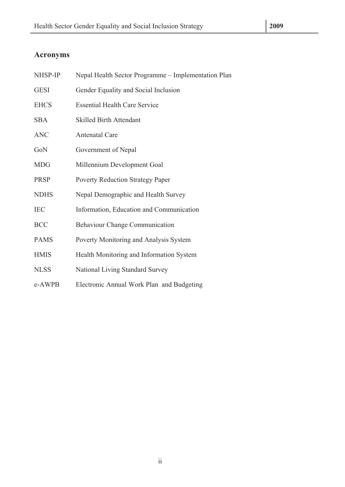## **Acronyms**

| NHSP-IP     | Nepal Health Sector Programme - Implementation Plan |
|-------------|-----------------------------------------------------|
| <b>GESI</b> | Gender Equality and Social Inclusion                |
| <b>EHCS</b> | <b>Essential Health Care Service</b>                |
| <b>SBA</b>  | <b>Skilled Birth Attendant</b>                      |
| <b>ANC</b>  | <b>Antenatal Care</b>                               |
| GoN         | Government of Nepal                                 |
| <b>MDG</b>  | Millennium Development Goal                         |
| <b>PRSP</b> | <b>Poverty Reduction Strategy Paper</b>             |
| <b>NDHS</b> | Nepal Demographic and Health Survey                 |
| <b>IEC</b>  | Information, Education and Communication            |
| <b>BCC</b>  | <b>Behaviour Change Communication</b>               |
| <b>PAMS</b> | Poverty Monitoring and Analysis System              |
| <b>HMIS</b> | Health Monitoring and Information System            |
| <b>NLSS</b> | National Living Standard Survey                     |
| e-AWPB      | Electronic Annual Work Plan and Budgeting           |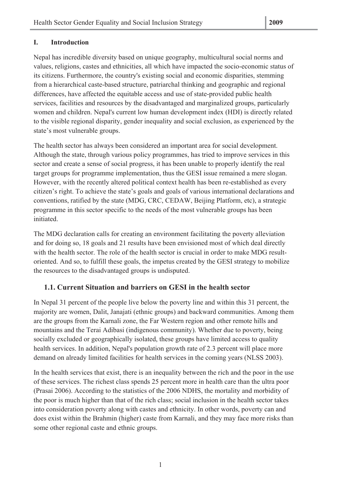### **I. Introduction**

Nepal has incredible diversity based on unique geography, multicultural social norms and values, religions, castes and ethnicities, all which have impacted the socio-economic status of its citizens. Furthermore, the country's existing social and economic disparities, stemming from a hierarchical caste-based structure, patriarchal thinking and geographic and regional differences, have affected the equitable access and use of state-provided public health services, facilities and resources by the disadvantaged and marginalized groups, particularly women and children. Nepal's current low human development index (HDI) is directly related to the visible regional disparity, gender inequality and social exclusion, as experienced by the state's most vulnerable groups.

The health sector has always been considered an important area for social development. Although the state, through various policy programmes, has tried to improve services in this sector and create a sense of social progress, it has been unable to properly identify the real target groups for programme implementation, thus the GESI issue remained a mere slogan. However, with the recently altered political context health has been re-established as every citizen's right. To achieve the state's goals and goals of various international declarations and conventions, ratified by the state (MDG, CRC, CEDAW, Beijing Platform, etc), a strategic programme in this sector specific to the needs of the most vulnerable groups has been initiated.

The MDG declaration calls for creating an environment facilitating the poverty alleviation and for doing so, 18 goals and 21 results have been envisioned most of which deal directly with the health sector. The role of the health sector is crucial in order to make MDG resultoriented. And so, to fulfill these goals, the impetus created by the GESI strategy to mobilize the resources to the disadvantaged groups is undisputed.

## **1.1. Current Situation and barriers on GESI in the health sector**

In Nepal 31 percent of the people live below the poverty line and within this 31 percent, the majority are women, Dalit, Janajati (ethnic groups) and backward communities. Among them are the groups from the Karnali zone, the Far Western region and other remote hills and mountains and the Terai Adibasi (indigenous community). Whether due to poverty, being socially excluded or geographically isolated, these groups have limited access to quality health services. In addition, Nepal's population growth rate of 2.3 percent will place more demand on already limited facilities for health services in the coming years (NLSS 2003).

In the health services that exist, there is an inequality between the rich and the poor in the use of these services. The richest class spends 25 percent more in health care than the ultra poor (Prasai 2006). According to the statistics of the 2006 NDHS, the mortality and morbidity of the poor is much higher than that of the rich class; social inclusion in the health sector takes into consideration poverty along with castes and ethnicity. In other words, poverty can and does exist within the Brahmin (higher) caste from Karnali, and they may face more risks than some other regional caste and ethnic groups.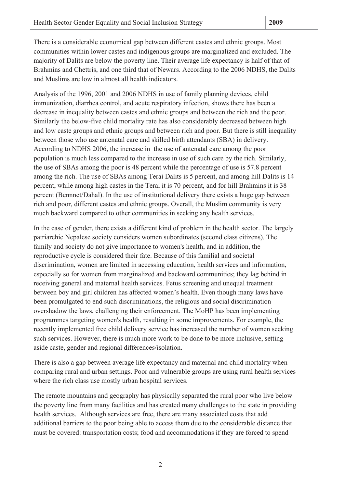There is a considerable economical gap between different castes and ethnic groups. Most communities within lower castes and indigenous groups are marginalized and excluded. The majority of Dalits are below the poverty line. Their average life expectancy is half of that of Brahmins and Chettris, and one third that of Newars. According to the 2006 NDHS, the Dalits and Muslims are low in almost all health indicators.

Analysis of the 1996, 2001 and 2006 NDHS in use of family planning devices, child immunization, diarrhea control, and acute respiratory infection, shows there has been a decrease in inequality between castes and ethnic groups and between the rich and the poor. Similarly the below-five child mortality rate has also considerably decreased between high and low caste groups and ethnic groups and between rich and poor. But there is still inequality between those who use antenatal care and skilled birth attendants (SBA) in delivery. According to NDHS 2006, the increase in the use of antenatal care among the poor population is much less compared to the increase in use of such care by the rich. Similarly, the use of SBAs among the poor is 48 percent while the percentage of use is 57.8 percent among the rich. The use of SBAs among Terai Dalits is 5 percent, and among hill Dalits is 14 percent, while among high castes in the Terai it is 70 percent, and for hill Brahmins it is 38 percent (Bennnet/Dahal). In the use of institutional delivery there exists a huge gap between rich and poor, different castes and ethnic groups. Overall, the Muslim community is very much backward compared to other communities in seeking any health services.

In the case of gender, there exists a different kind of problem in the health sector. The largely patriarchic Nepalese society considers women subordinates (second class citizens). The family and society do not give importance to women's health, and in addition, the reproductive cycle is considered their fate. Because of this familial and societal discrimination, women are limited in accessing education, health services and information, especially so for women from marginalized and backward communities; they lag behind in receiving general and maternal health services. Fetus screening and unequal treatment between boy and girl children has affected women's health. Even though many laws have been promulgated to end such discriminations, the religious and social discrimination overshadow the laws, challenging their enforcement. The MoHP has been implementing programmes targeting women's health, resulting in some improvements. For example, the recently implemented free child delivery service has increased the number of women seeking such services. However, there is much more work to be done to be more inclusive, setting aside caste, gender and regional differences/isolation.

There is also a gap between average life expectancy and maternal and child mortality when comparing rural and urban settings. Poor and vulnerable groups are using rural health services where the rich class use mostly urban hospital services.

The remote mountains and geography has physically separated the rural poor who live below the poverty line from many facilities and has created many challenges to the state in providing health services. Although services are free, there are many associated costs that add additional barriers to the poor being able to access them due to the considerable distance that must be covered: transportation costs; food and accommodations if they are forced to spend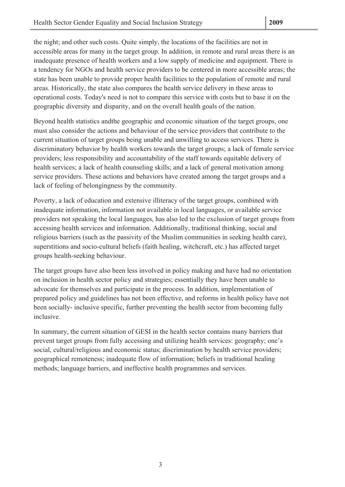the night; and other such costs. Quite simply, the locations of the facilities are not in accessible areas for many in the target group. In addition, in remote and rural areas there is an inadequate presence of health workers and a low supply of medicine and equipment. There is a tendency for NGOs and health service providers to be centered in more accessible areas; the state has been unable to provide proper health facilities to the population of remote and rural areas. Historically, the state also compares the health service delivery in these areas to operational costs. Today's need is not to compare this service with costs but to base it on the geographic diversity and disparity, and on the overall health goals of the nation.

Beyond health statistics andthe geographic and economic situation of the target groups, one must also consider the actions and behaviour of the service providers that contribute to the current situation of target groups being unable and unwilling to access services. There is discriminatory behavior by health workers towards the target groups; a lack of female service providers; less responsibility and accountability of the staff towards equitable delivery of health services; a lack of health counseling skills; and a lack of general motivation among service providers. These actions and behaviors have created among the target groups and a lack of feeling of belongingness by the community.

Poverty, a lack of education and extensive illiteracy of the target groups, combined with inadequate information, information not available in local languages, or available service providers not speaking the local languages, has also led to the exclusion of target groups from accessing health services and information. Additionally, traditional thinking, social and religious barriers (such as the passivity of the Muslim communities in seeking health care), superstitions and socio-cultural beliefs (faith healing, witchcraft, etc.) has affected target groups health-seeking behaviour.

The target groups have also been less involved in policy making and have had no orientation on inclusion in health sector policy and strategies; essentially they have been unable to advocate for themselves and participate in the process. In addition, implementation of prepared policy and guidelines has not been effective, and reforms in health policy have not been socially- inclusive specific, further preventing the health sector from becoming fully inclusive.

In summary, the current situation of GESI in the health sector contains many barriers that prevent target groups from fully accessing and utilizing health services: geography; one's social, cultural/religious and economic status; discrimination by health service providers; geographical remoteness; inadequate flow of information; beliefs in traditional healing methods; language barriers, and ineffective health programmes and services.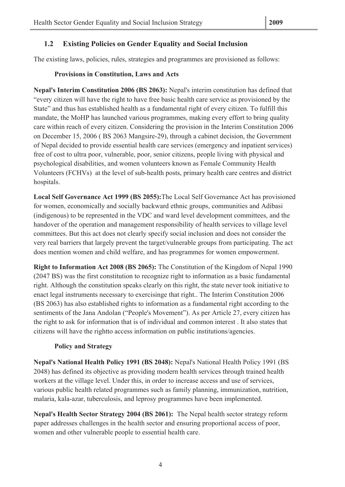## **1.2 Existing Policies on Gender Equality and Social Inclusion**

The existing laws, policies, rules, strategies and programmes are provisioned as follows:

#### **Provisions in Constitution, Laws and Acts**

**Nepal's Interim Constitution 2006 (BS 2063):** Nepal's interim constitution has defined that "every citizen will have the right to have free basic health care service as provisioned by the State" and thus has established health as a fundamental right of every citizen. To fulfill this mandate, the MoHP has launched various programmes, making every effort to bring quality care within reach of every citizen. Considering the provision in the Interim Constitution 2006 on December 15, 2006 ( BS 2063 Mangsire-29), through a cabinet decision, the Government of Nepal decided to provide essential health care services (emergency and inpatient services) free of cost to ultra poor, vulnerable, poor, senior citizens, people living with physical and psychological disabilities, and women volunteers known as Female Community Health Volunteers (FCHVs) at the level of sub-health posts, primary health care centres and district hospitals.

**Local Self Governance Act 1999 (BS 2055):**The Local Self Governance Act has provisioned for women, economically and socially backward ethnic groups, communities and Adibasi (indigenous) to be represented in the VDC and ward level development committees, and the handover of the operation and management responsibility of health services to village level committees. But this act does not clearly specify social inclusion and does not consider the very real barriers that largely prevent the target/vulnerable groups from participating. The act does mention women and child welfare, and has programmes for women empowerment.

**Right to Information Act 2008 (BS 2065):** The Constitution of the Kingdom of Nepal 1990 (2047 BS) was the first constitution to recognize right to information as a basic fundamental right. Although the constitution speaks clearly on this right, the state never took initiative to enact legal instruments necessary to exercisinge that right.. The Interim Constitution 2006 (BS 2063) has also established rights to information as a fundamental right according to the sentiments of the Jana Andolan ("People's Movement"). As per Article 27, every citizen has the right to ask for information that is of individual and common interest . It also states that citizens will have the rightto access information on public institutions/agencies.

#### **Policy and Strategy**

**Nepal's National Health Policy 1991 (BS 2048):** Nepal's National Health Policy 1991 (BS 2048) has defined its objective as providing modern health services through trained health workers at the village level. Under this, in order to increase access and use of services, various public health related programmes such as family planning, immunization, nutrition, malaria, kala-azar, tuberculosis, and leprosy programmes have been implemented.

**Nepal's Health Sector Strategy 2004 (BS 2061):** The Nepal health sector strategy reform paper addresses challenges in the health sector and ensuring proportional access of poor, women and other vulnerable people to essential health care.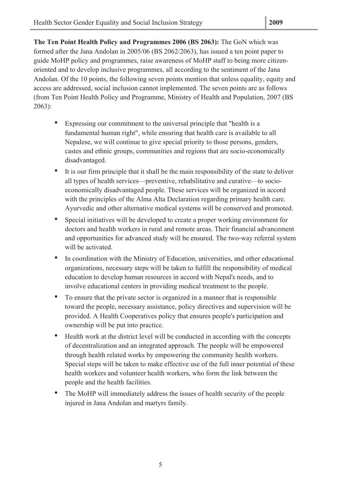**The Ten Point Health Policy and Programmes 2006 (BS 2063):** The GoN which was formed after the Jana Andolan in 2005/06 (BS 2062/2063), has issued a ten point paper to guide MoHP policy and programmes, raise awareness of MoHP staff to being more citizenoriented and to develop inclusive programmes, all according to the sentiment of the Jana Andolan. Of the 10 points, the following seven points mention that unless equality, equity and access are addressed, social inclusion cannot implemented. The seven points are as follows (from Ten Point Health Policy and Programme, Ministry of Health and Population, 2007 (BS 2063):

- Expressing our commitment to the universal principle that "health is a fundamental human right", while ensuring that health care is available to all Nepalese, we will continue to give special priority to those persons, genders, castes and ethnic groups, communities and regions that are socio-economically disadvantaged.
- It is our firm principle that it shall be the main responsibility of the state to deliver all types of health services—preventive, rehabilitative and curative—to socioeconomically disadvantaged people. These services will be organized in accord with the principles of the Alma Alta Declaration regarding primary health care. Ayurvedic and other alternative medical systems will be conserved and promoted.
- Special initiatives will be developed to create a proper working environment for doctors and health workers in rural and remote areas. Their financial advancement and opportunities for advanced study will be ensured. The two-way referral system will be activated.
- In coordination with the Ministry of Education, universities, and other educational organizations, necessary steps will be taken to fulfill the responsibility of medical education to develop human resources in accord with Nepal's needs, and to involve educational centers in providing medical treatment to the people.
- To ensure that the private sector is organized in a manner that is responsible toward the people, necessary assistance, policy directives and supervision will be provided. A Health Cooperatives policy that ensures people's participation and ownership will be put into practice.
- Health work at the district level will be conducted in according with the concepts of decentralization and an integrated approach. The people will be empowered through health related works by empowering the community health workers. Special steps will be taken to make effective use of the full inner potential of these health workers and volunteer health workers, who form the link between the people and the health facilities.
- The MoHP will immediately address the issues of health security of the people injured in Jana Andolan and martyrs family.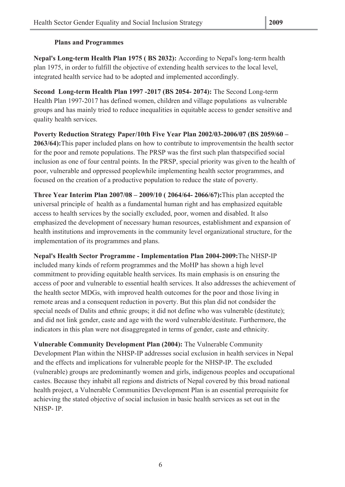#### **Plans and Programmes**

**Nepal's Long-term Health Plan 1975 ( BS 2032):** According to Nepal's long-term health plan 1975, in order to fulfill the objective of extending health services to the local level, integrated health service had to be adopted and implemented accordingly.

**Second Long-term Health Plan 1997 -2017 (BS 2054- 2074):** The Second Long-term Health Plan 1997-2017 has defined women, children and village populations as vulnerable groups and has mainly tried to reduce inequalities in equitable access to gender sensitive and quality health services.

**Poverty Reduction Strategy Paper/10th Five Year Plan 2002/03-2006/07 (BS 2059/60 – 2063/64):**This paper included plans on how to contribute to improvementsin the health sector for the poor and remote populations. The PRSP was the first such plan thatspecified social inclusion as one of four central points. In the PRSP, special priority was given to the health of poor, vulnerable and oppressed peoplewhile implementing health sector programmes, and focused on the creation of a productive population to reduce the state of poverty.

**Three Year Interim Plan 2007/08 – 2009/10 ( 2064/64- 2066/67):**This plan accepted the universal principle of health as a fundamental human right and has emphasized equitable access to health services by the socially excluded, poor, women and disabled. It also emphasized the development of necessary human resources, establishment and expansion of health institutions and improvements in the community level organizational structure, for the implementation of its programmes and plans.

**Nepal's Health Sector Programme - Implementation Plan 2004-2009:**The NHSP-IP included many kinds of reform programmes and the MoHP has shown a high level commitment to providing equitable health services. Its main emphasis is on ensuring the access of poor and vulnerable to essential health services. It also addresses the achievement of the health sector MDGs, with improved health outcomes for the poor and those living in remote areas and a consequent reduction in poverty. But this plan did not condsider the special needs of Dalits and ethnic groups; it did not define who was vulnerable (destitute); and did not link gender, caste and age with the word vulnerable/destitute. Furthermore, the indicators in this plan were not disaggregated in terms of gender, caste and ethnicity.

**Vulnerable Community Development Plan (2004):** The Vulnerable Community Development Plan within the NHSP-IP addresses social exclusion in health services in Nepal and the effects and implications for vulnerable people for the NHSP-IP. The excluded (vulnerable) groups are predominantly women and girls, indigenous peoples and occupational castes. Because they inhabit all regions and districts of Nepal covered by this broad national health project, a Vulnerable Communities Development Plan is an essential prerequisite for achieving the stated objective of social inclusion in basic health services as set out in the NHSP- IP.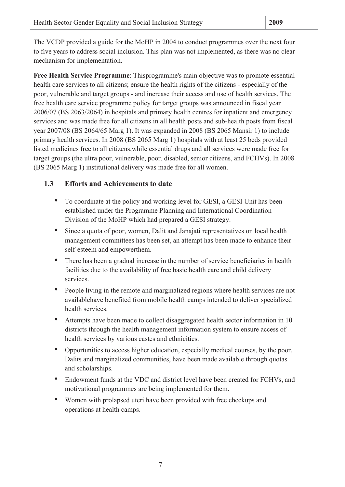The VCDP provided a guide for the MoHP in 2004 to conduct programmes over the next four to five years to address social inclusion. This plan was not implemented, as there was no clear mechanism for implementation.

**Free Health Service Programme**: Thisprogramme's main objective was to promote essential health care services to all citizens; ensure the health rights of the citizens - especially of the poor, vulnerable and target groups - and increase their access and use of health services. The free health care service programme policy for target groups was announced in fiscal year 2006/07 (BS 2063/2064) in hospitals and primary health centres for inpatient and emergency services and was made free for all citizens in all health posts and sub-health posts from fiscal year 2007/08 (BS 2064/65 Marg 1). It was expanded in 2008 (BS 2065 Mansir 1) to include primary health services. In 2008 (BS 2065 Marg 1) hospitals with at least 25 beds provided listed medicines free to all citizens,while essential drugs and all services were made free for target groups (the ultra poor, vulnerable, poor, disabled, senior citizens, and FCHVs). In 2008 (BS 2065 Marg 1) institutional delivery was made free for all women.

### **1.3 Efforts and Achievements to date**

- To coordinate at the policy and working level for GESI, a GESI Unit has been established under the Programme Planning and International Coordination Division of the MoHP which had prepared a GESI strategy.
- Since a quota of poor, women, Dalit and Janajati representatives on local health management committees has been set, an attempt has been made to enhance their self-esteem and empowerthem.
- There has been a gradual increase in the number of service beneficiaries in health facilities due to the availability of free basic health care and child delivery services.
- People living in the remote and marginalized regions where health services are not availablehave benefited from mobile health camps intended to deliver specialized health services.
- Attempts have been made to collect disaggregated health sector information in 10 districts through the health management information system to ensure access of health services by various castes and ethnicities.
- Opportunities to access higher education, especially medical courses, by the poor, Dalits and marginalized communities, have been made available through quotas and scholarships.
- Endowment funds at the VDC and district level have been created for FCHVs, and motivational programmes are being implemented for them.
- Women with prolapsed uteri have been provided with free checkups and operations at health camps.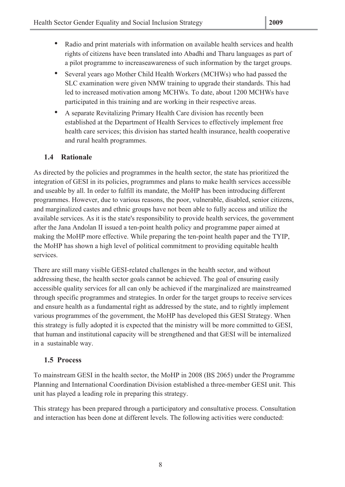- Radio and print materials with information on available health services and health rights of citizens have been translated into Abadhi and Tharu languages as part of a pilot programme to increaseawareness of such information by the target groups.
- Several years ago Mother Child Health Workers (MCHWs) who had passed the SLC examination were given NMW training to upgrade their standards. This had led to increased motivation among MCHWs. To date, about 1200 MCHWs have participated in this training and are working in their respective areas.
- A separate Revitalizing Primary Health Care division has recently been established at the Department of Health Services to effectively implement free health care services; this division has started health insurance, health cooperative and rural health programmes.

## **1.4 Rationale**

As directed by the policies and programmes in the health sector, the state has prioritized the integration of GESI in its policies, programmes and plans to make health services accessible and useable by all. In order to fulfill its mandate, the MoHP has been introducing different programmes. However, due to various reasons, the poor, vulnerable, disabled, senior citizens, and marginalized castes and ethnic groups have not been able to fully access and utilize the available services. As it is the state's responsibility to provide health services, the government after the Jana Andolan II issued a ten-point health policy and programme paper aimed at making the MoHP more effective. While preparing the ten-point health paper and the TYIP, the MoHP has shown a high level of political commitment to providing equitable health services.

There are still many visible GESI-related challenges in the health sector, and without addressing these, the health sector goals cannot be achieved. The goal of ensuring easily accessible quality services for all can only be achieved if the marginalized are mainstreamed through specific programmes and strategies. In order for the target groups to receive services and ensure health as a fundamental right as addressed by the state, and to rightly implement various programmes of the government, the MoHP has developed this GESI Strategy. When this strategy is fully adopted it is expected that the ministry will be more committed to GESI, that human and institutional capacity will be strengthened and that GESI will be internalized in a sustainable way.

## **1.5 Process**

To mainstream GESI in the health sector, the MoHP in 2008 (BS 2065) under the Programme Planning and International Coordination Division established a three-member GESI unit. This unit has played a leading role in preparing this strategy.

This strategy has been prepared through a participatory and consultative process. Consultation and interaction has been done at different levels. The following activities were conducted: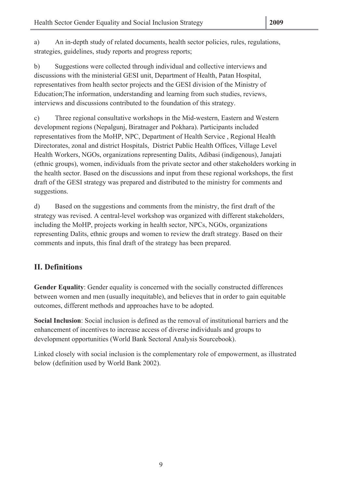a) An in-depth study of related documents, health sector policies, rules, regulations, strategies, guidelines, study reports and progress reports;

b) Suggestions were collected through individual and collective interviews and discussions with the ministerial GESI unit, Department of Health, Patan Hospital, representatives from health sector projects and the GESI division of the Ministry of Education;The information, understanding and learning from such studies, reviews, interviews and discussions contributed to the foundation of this strategy.

c) Three regional consultative workshops in the Mid-western, Eastern and Western development regions (Nepalgunj, Biratnager and Pokhara). Participants included representatives from the MoHP, NPC, Department of Health Service , Regional Health Directorates, zonal and district Hospitals, District Public Health Offices, Village Level Health Workers, NGOs, organizations representing Dalits, Adibasi (indigenous), Janajati (ethnic groups), women, individuals from the private sector and other stakeholders working in the health sector. Based on the discussions and input from these regional workshops, the first draft of the GESI strategy was prepared and distributed to the ministry for comments and suggestions.

d) Based on the suggestions and comments from the ministry, the first draft of the strategy was revised. A central-level workshop was organized with different stakeholders, including the MoHP, projects working in health sector, NPCs, NGOs, organizations representing Dalits, ethnic groups and women to review the draft strategy. Based on their comments and inputs, this final draft of the strategy has been prepared.

## **II. Definitions**

**Gender Equality**: Gender equality is concerned with the socially constructed differences between women and men (usually inequitable), and believes that in order to gain equitable outcomes, different methods and approaches have to be adopted.

**Social Inclusion**: Social inclusion is defined as the removal of institutional barriers and the enhancement of incentives to increase access of diverse individuals and groups to development opportunities (World Bank Sectoral Analysis Sourcebook).

Linked closely with social inclusion is the complementary role of empowerment, as illustrated below (definition used by World Bank 2002).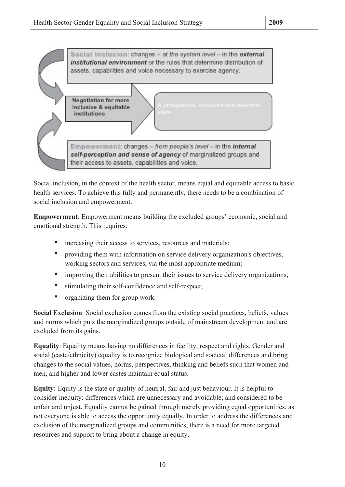

Social inclusion, in the context of the health sector, means equal and equitable access to basic health services. To achieve this fully and permanently, there needs to be a combination of social inclusion and empowerment.

**Empowerment**: Empowerment means building the excluded groups' economic, social and emotional strength. This requires:

- increasing their access to services, resources and materials;
- providing them with information on service delivery organization's objectives, working sectors and services, via the most appropriate medium;
- improving their abilities to present their issues to service delivery organizations:
- stimulating their self-confidence and self-respect;
- organizing them for group work.

**Social Exclusion**: Social exclusion comes from the existing social practices, beliefs, values and norms which puts the marginalized groups outside of mainstream development and are excluded from its gains.

**Equality**: Equality means having no differences in facility, respect and rights. Gender and social (caste/ethnicity) equality is to recognize biological and societal differences and bring changes to the social values, norms, perspectives, thinking and beliefs such that women and men, and higher and lower castes maintain equal status.

**Equity:** Equity is the state or quality of neutral, fair and just behaviour. It is helpful to consider inequity: differences which are unnecessary and avoidable; and considered to be unfair and unjust. Equality cannot be gained through merely providing equal opportunities, as not everyone is able to access the opportunity equally. In order to address the differences and exclusion of the marginalized groups and communities, there is a need for more targeted resources and support to bring about a change in equity.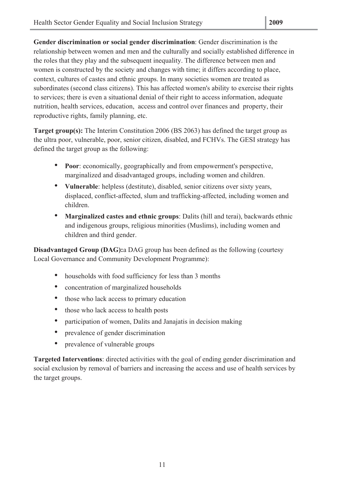**Gender discrimination or social gender discrimination**: Gender discrimination is the relationship between women and men and the culturally and socially established difference in the roles that they play and the subsequent inequality. The difference between men and women is constructed by the society and changes with time; it differs according to place, context, cultures of castes and ethnic groups. In many societies women are treated as subordinates (second class citizens). This has affected women's ability to exercise their rights to services; there is even a situational denial of their right to access information, adequate nutrition, health services, education, access and control over finances and property, their reproductive rights, family planning, etc.

**Target group(s):** The Interim Constitution 2006 (BS 2063) has defined the target group as the ultra poor, vulnerable, poor, senior citizen, disabled, and FCHVs. The GESI strategy has defined the target group as the following:

- **Poor**: economically, geographically and from empowerment's perspective, marginalized and disadvantaged groups, including women and children.
- **Vulnerable**: helpless (destitute), disabled, senior citizens over sixty years, displaced, conflict-affected, slum and trafficking-affected, including women and children.
- **Marginalized castes and ethnic groups**: Dalits (hill and terai), backwards ethnic and indigenous groups, religious minorities (Muslims), including women and children and third gender.

**Disadvantaged Group (DAG):**a DAG group has been defined as the following (courtesy Local Governance and Community Development Programme):

- households with food sufficiency for less than 3 months
- concentration of marginalized households
- those who lack access to primary education
- those who lack access to health posts
- participation of women, Dalits and Janajatis in decision making
- prevalence of gender discrimination
- prevalence of vulnerable groups

**Targeted Interventions**: directed activities with the goal of ending gender discrimination and social exclusion by removal of barriers and increasing the access and use of health services by the target groups.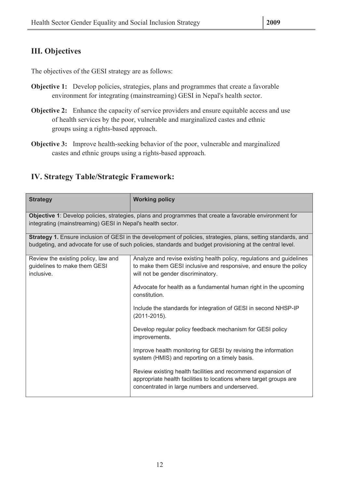## **III. Objectives**

The objectives of the GESI strategy are as follows:

- **Objective 1:** Develop policies, strategies, plans and programmes that create a favorable environment for integrating (mainstreaming) GESI in Nepal's health sector.
- **Objective 2:** Enhance the capacity of service providers and ensure equitable access and use of health services by the poor, vulnerable and marginalized castes and ethnic groups using a rights-based approach.
- **Objective 3:** Improve health-seeking behavior of the poor, vulnerable and marginalized castes and ethnic groups using a rights-based approach.

## **IV. Strategy Table/Strategic Framework:**

| <b>Strategy</b>                                                                   | <b>Working policy</b>                                                                                                                                                                                                       |
|-----------------------------------------------------------------------------------|-----------------------------------------------------------------------------------------------------------------------------------------------------------------------------------------------------------------------------|
| integrating (mainstreaming) GESI in Nepal's health sector.                        | Objective 1: Develop policies, strategies, plans and programmes that create a favorable environment for                                                                                                                     |
|                                                                                   | Strategy 1. Ensure inclusion of GESI in the development of policies, strategies, plans, setting standards, and<br>budgeting, and advocate for use of such policies, standards and budget provisioning at the central level. |
| Review the existing policy, law and<br>guidelines to make them GESI<br>inclusive. | Analyze and revise existing health policy, regulations and guidelines<br>to make them GESI inclusive and responsive, and ensure the policy<br>will not be gender discriminatory.                                            |
|                                                                                   | Advocate for health as a fundamental human right in the upcoming<br>constitution.                                                                                                                                           |
|                                                                                   | Include the standards for integration of GESI in second NHSP-IP<br>$(2011 - 2015)$ .                                                                                                                                        |
|                                                                                   | Develop regular policy feedback mechanism for GESI policy<br>improvements.                                                                                                                                                  |
|                                                                                   | Improve health monitoring for GESI by revising the information<br>system (HMIS) and reporting on a timely basis.                                                                                                            |
|                                                                                   | Review existing health facilities and recommend expansion of<br>appropriate health facilities to locations where target groups are<br>concentrated in large numbers and underserved.                                        |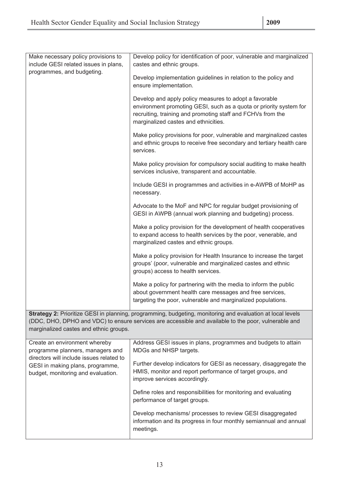| Make necessary policy provisions to<br>include GESI related issues in plans,                                  | Develop policy for identification of poor, vulnerable and marginalized<br>castes and ethnic groups.                                                                                                                                 |
|---------------------------------------------------------------------------------------------------------------|-------------------------------------------------------------------------------------------------------------------------------------------------------------------------------------------------------------------------------------|
| programmes, and budgeting.                                                                                    | Develop implementation guidelines in relation to the policy and<br>ensure implementation.                                                                                                                                           |
|                                                                                                               | Develop and apply policy measures to adopt a favorable<br>environment promoting GESI, such as a quota or priority system for<br>recruiting, training and promoting staff and FCHVs from the<br>marginalized castes and ethnicities. |
|                                                                                                               | Make policy provisions for poor, vulnerable and marginalized castes<br>and ethnic groups to receive free secondary and tertiary health care<br>services.                                                                            |
|                                                                                                               | Make policy provision for compulsory social auditing to make health<br>services inclusive, transparent and accountable.                                                                                                             |
|                                                                                                               | Include GESI in programmes and activities in e-AWPB of MoHP as<br>necessary.                                                                                                                                                        |
|                                                                                                               | Advocate to the MoF and NPC for regular budget provisioning of<br>GESI in AWPB (annual work planning and budgeting) process.                                                                                                        |
|                                                                                                               | Make a policy provision for the development of health cooperatives<br>to expand access to health services by the poor, venerable, and<br>marginalized castes and ethnic groups.                                                     |
|                                                                                                               | Make a policy provision for Health Insurance to increase the target<br>groups' (poor, vulnerable and marginalized castes and ethnic<br>groups) access to health services.                                                           |
|                                                                                                               | Make a policy for partnering with the media to inform the public<br>about government health care messages and free services,<br>targeting the poor, vulnerable and marginalized populations.                                        |
| marginalized castes and ethnic groups.                                                                        | Strategy 2: Prioritize GESI in planning, programming, budgeting, monitoring and evaluation at local levels<br>(DDC, DHO, DPHO and VDC) to ensure services are accessible and available to the poor, vulnerable and                  |
| Create an environment whereby<br>programme planners, managers and<br>directors will include issues related to | Address GESI issues in plans, programmes and budgets to attain<br>MDGs and NHSP targets.                                                                                                                                            |
| GESI in making plans, programme,<br>budget, monitoring and evaluation.                                        | Further develop indicators for GESI as necessary, disaggregate the<br>HMIS, monitor and report performance of target groups, and<br>improve services accordingly.                                                                   |
|                                                                                                               | Define roles and responsibilities for monitoring and evaluating<br>performance of target groups.                                                                                                                                    |
|                                                                                                               | Develop mechanisms/ processes to review GESI disaggregated<br>information and its progress in four monthly semiannual and annual<br>meetings.                                                                                       |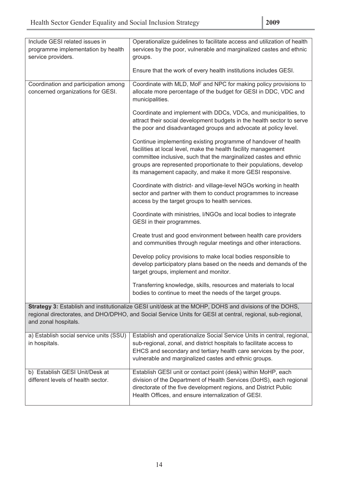| Include GESI related issues in                                       | Operationalize guidelines to facilitate access and utilization of health                                                                                                                                                                                                                                                                  |
|----------------------------------------------------------------------|-------------------------------------------------------------------------------------------------------------------------------------------------------------------------------------------------------------------------------------------------------------------------------------------------------------------------------------------|
| programme implementation by health                                   | services by the poor, vulnerable and marginalized castes and ethnic                                                                                                                                                                                                                                                                       |
| service providers.                                                   | groups.                                                                                                                                                                                                                                                                                                                                   |
|                                                                      |                                                                                                                                                                                                                                                                                                                                           |
|                                                                      | Ensure that the work of every health institutions includes GESI.                                                                                                                                                                                                                                                                          |
| Coordination and participation among                                 | Coordinate with MLD, MoF and NPC for making policy provisions to                                                                                                                                                                                                                                                                          |
| concerned organizations for GESI.                                    | allocate more percentage of the budget for GESI in DDC, VDC and<br>municipalities.                                                                                                                                                                                                                                                        |
|                                                                      | Coordinate and implement with DDCs, VDCs, and municipalities, to<br>attract their social development budgets in the health sector to serve<br>the poor and disadvantaged groups and advocate at policy level.                                                                                                                             |
|                                                                      | Continue implementing existing programme of handover of health<br>facilities at local level, make the health facility management<br>committee inclusive, such that the marginalized castes and ethnic<br>groups are represented proportionate to their populations, develop<br>its management capacity, and make it more GESI responsive. |
|                                                                      | Coordinate with district- and village-level NGOs working in health<br>sector and partner with them to conduct programmes to increase<br>access by the target groups to health services.                                                                                                                                                   |
|                                                                      | Coordinate with ministries, I/NGOs and local bodies to integrate<br>GESI in their programmes.                                                                                                                                                                                                                                             |
|                                                                      | Create trust and good environment between health care providers<br>and communities through regular meetings and other interactions.                                                                                                                                                                                                       |
|                                                                      | Develop policy provisions to make local bodies responsible to<br>develop participatory plans based on the needs and demands of the<br>target groups, implement and monitor.                                                                                                                                                               |
|                                                                      | Transferring knowledge, skills, resources and materials to local<br>bodies to continue to meet the needs of the target groups.                                                                                                                                                                                                            |
| and zonal hospitals.                                                 | Strategy 3: Establish and institutionalize GESI unit/desk at the MOHP, DOHS and divisions of the DOHS,<br>regional directorates, and DHO/DPHO, and Social Service Units for GESI at central, regional, sub-regional,                                                                                                                      |
| a) Establish social service units (SSU)<br>in hospitals.             | Establish and operationalize Social Service Units in central, regional,<br>sub-regional, zonal, and district hospitals to facilitate access to<br>EHCS and secondary and tertiary health care services by the poor,<br>vulnerable and marginalized castes and ethnic groups.                                                              |
| b) Establish GESI Unit/Desk at<br>different levels of health sector. | Establish GESI unit or contact point (desk) within MoHP, each<br>division of the Department of Health Services (DoHS), each regional<br>directorate of the five development regions, and District Public<br>Health Offices, and ensure internalization of GESI.                                                                           |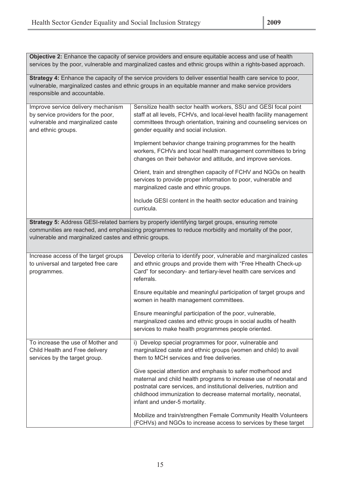**Objective 2:** Enhance the capacity of service providers and ensure equitable access and use of health services by the poor, vulnerable and marginalized castes and ethnic groups within a rights-based approach.

**Strategy 4:** Enhance the capacity of the service providers to deliver essential health care service to poor, vulnerable, marginalized castes and ethnic groups in an equitable manner and make service providers responsible and accountable.

| Improve service delivery mechanism                    | Sensitize health sector health workers, SSU and GESI focal point                                   |
|-------------------------------------------------------|----------------------------------------------------------------------------------------------------|
| by service providers for the poor,                    | staff at all levels, FCHVs, and local-level health facility management                             |
| vulnerable and marginalized caste                     | committees through orientation, training and counseling services on                                |
| and ethnic groups.                                    | gender equality and social inclusion.                                                              |
|                                                       |                                                                                                    |
|                                                       | Implement behavior change training programmes for the health                                       |
|                                                       | workers, FCHVs and local health management committees to bring                                     |
|                                                       | changes on their behavior and attitude, and improve services.                                      |
|                                                       | Orient, train and strengthen capacity of FCHV and NGOs on health                                   |
|                                                       | services to provide proper information to poor, vulnerable and                                     |
|                                                       | marginalized caste and ethnic groups.                                                              |
|                                                       |                                                                                                    |
|                                                       | Include GESI content in the health sector education and training                                   |
|                                                       | curricula.                                                                                         |
|                                                       |                                                                                                    |
|                                                       | Strategy 5: Address GESI-related barriers by properly identifying target groups, ensuring remote   |
|                                                       | communities are reached, and emphasizing programmes to reduce morbidity and mortality of the poor, |
| vulnerable and marginalized castes and ethnic groups. |                                                                                                    |
|                                                       |                                                                                                    |
| Increase access of the target groups                  | Develop criteria to identify poor, vulnerable and marginalized castes                              |
| to universal and targeted free care                   | and ethnic groups and provide them with "Free Hhealth Check-up                                     |
| programmes.                                           | Card" for secondary- and tertiary-level health care services and                                   |
|                                                       | referrals.                                                                                         |
|                                                       |                                                                                                    |
|                                                       | Ensure equitable and meaningful participation of target groups and                                 |
|                                                       | women in health management committees.                                                             |
|                                                       | Ensure meaningful participation of the poor, vulnerable,                                           |
|                                                       | marginalized castes and ethnic groups in social audits of health                                   |
|                                                       | services to make health programmes people oriented.                                                |
|                                                       |                                                                                                    |
| To increase the use of Mother and                     | i) Develop special programmes for poor, vulnerable and                                             |
| Child Health and Free delivery                        | marginalized caste and ethnic groups (women and child) to avail                                    |
| services by the target group.                         | them to MCH services and free deliveries.                                                          |
|                                                       |                                                                                                    |
|                                                       | Give special attention and emphasis to safer motherhood and                                        |
|                                                       | maternal and child health programs to increase use of neonatal and                                 |
|                                                       | postnatal care services, and institutional deliveries, nutrition and                               |
|                                                       | childhood immunization to decrease maternal mortality, neonatal,                                   |
|                                                       | infant and under-5 mortality.                                                                      |
|                                                       | Mobilize and train/strengthen Female Community Health Volunteers                                   |
|                                                       | (FCHVs) and NGOs to increase access to services by these target                                    |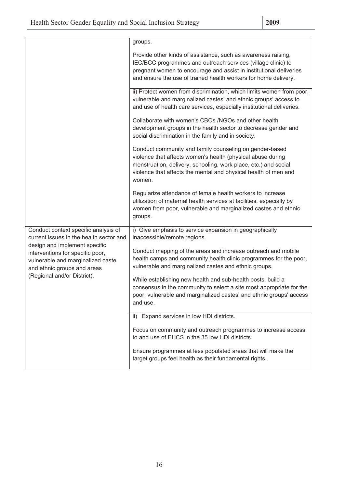|                                                                                                                                       | groups.                                                                                                                                                                                                                                                                |
|---------------------------------------------------------------------------------------------------------------------------------------|------------------------------------------------------------------------------------------------------------------------------------------------------------------------------------------------------------------------------------------------------------------------|
|                                                                                                                                       | Provide other kinds of assistance, such as awareness raising,<br>IEC/BCC programmes and outreach services (village clinic) to<br>pregnant women to encourage and assist in institutional deliveries<br>and ensure the use of trained health workers for home delivery. |
|                                                                                                                                       | ii) Protect women from discrimination, which limits women from poor,<br>vulnerable and marginalized castes' and ethnic groups' access to<br>and use of health care services, especially institutional deliveries.                                                      |
|                                                                                                                                       | Collaborate with women's CBOs /NGOs and other health<br>development groups in the health sector to decrease gender and<br>social discrimination in the family and in society.                                                                                          |
|                                                                                                                                       | Conduct community and family counseling on gender-based<br>violence that affects women's health (physical abuse during<br>menstruation, delivery, schooling, work place, etc.) and social<br>violence that affects the mental and physical health of men and<br>women. |
|                                                                                                                                       | Regularize attendance of female health workers to increase<br>utilization of maternal health services at facilities, especially by<br>women from poor, vulnerable and marginalized castes and ethnic<br>groups.                                                        |
| Conduct context specific analysis of<br>current issues in the health sector and                                                       | i) Give emphasis to service expansion in geographically<br>inaccessible/remote regions.                                                                                                                                                                                |
| design and implement specific<br>interventions for specific poor,<br>vulnerable and marginalized caste<br>and ethnic groups and areas | Conduct mapping of the areas and increase outreach and mobile<br>health camps and community health clinic programmes for the poor,<br>vulnerable and marginalized castes and ethnic groups.                                                                            |
| (Regional and/or District).                                                                                                           | While establishing new health and sub-health posts, build a<br>consensus in the community to select a site most appropriate for the<br>poor, vulnerable and marginalized castes' and ethnic groups' access<br>and use.                                                 |
|                                                                                                                                       | ii) Expand services in low HDI districts.                                                                                                                                                                                                                              |
|                                                                                                                                       | Focus on community and outreach programmes to increase access<br>to and use of EHCS in the 35 low HDI districts.                                                                                                                                                       |
|                                                                                                                                       | Ensure programmes at less populated areas that will make the<br>target groups feel health as their fundamental rights.                                                                                                                                                 |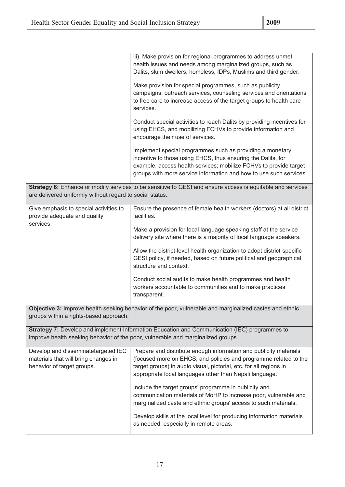|                                                                                                           | iii) Make provision for regional programmes to address unmet<br>health issues and needs among marginalized groups, such as<br>Dalits, slum dwellers, homeless, IDPs, Muslims and third gender.<br>Make provision for special programmes, such as publicity<br>campaigns, outreach services, counseling services and orientations<br>to free care to increase access of the target groups to health care<br>services.<br>Conduct special activities to reach Dalits by providing incentives for<br>using EHCS, and mobilizing FCHVs to provide information and<br>encourage their use of services.<br>Implement special programmes such as providing a monetary<br>incentive to those using EHCS, thus ensuring the Dalits, for<br>example, access health services; mobilize FCHVs to provide target<br>groups with more service information and how to use such services.<br>Strategy 6: Enhance or modify services to be sensitive to GESI and ensure access is equitable and services |
|-----------------------------------------------------------------------------------------------------------|-----------------------------------------------------------------------------------------------------------------------------------------------------------------------------------------------------------------------------------------------------------------------------------------------------------------------------------------------------------------------------------------------------------------------------------------------------------------------------------------------------------------------------------------------------------------------------------------------------------------------------------------------------------------------------------------------------------------------------------------------------------------------------------------------------------------------------------------------------------------------------------------------------------------------------------------------------------------------------------------|
| are delivered uniformly without regard to social status.                                                  |                                                                                                                                                                                                                                                                                                                                                                                                                                                                                                                                                                                                                                                                                                                                                                                                                                                                                                                                                                                         |
| Give emphasis to special activities to<br>provide adequate and quality<br>services.                       | Ensure the presence of female health workers (doctors) at all district<br>facilities.<br>Make a provision for local language speaking staff at the service<br>delivery site where there is a majority of local language speakers.                                                                                                                                                                                                                                                                                                                                                                                                                                                                                                                                                                                                                                                                                                                                                       |
|                                                                                                           | Allow the district-level health organization to adopt district-specific<br>GESI policy, if needed, based on future political and geographical<br>structure and context.                                                                                                                                                                                                                                                                                                                                                                                                                                                                                                                                                                                                                                                                                                                                                                                                                 |
|                                                                                                           | Conduct social audits to make health programmes and health<br>workers accountable to communities and to make practices<br>transparent.                                                                                                                                                                                                                                                                                                                                                                                                                                                                                                                                                                                                                                                                                                                                                                                                                                                  |
| groups within a rights-based approach.                                                                    | Objective 3: Improve health seeking behavior of the poor, vulnerable and marginalized castes and ethnic                                                                                                                                                                                                                                                                                                                                                                                                                                                                                                                                                                                                                                                                                                                                                                                                                                                                                 |
|                                                                                                           | Strategy 7: Develop and implement Information Education and Communication (IEC) programmes to<br>improve health seeking behavior of the poor, vulnerable and marginalized groups.                                                                                                                                                                                                                                                                                                                                                                                                                                                                                                                                                                                                                                                                                                                                                                                                       |
| Develop and disseminatetargeted IEC<br>materials that will bring changes in<br>behavior of target groups. | Prepare and distribute enough information and publicity materials<br>(focused more on EHCS, and policies and programme related to the<br>target groups) in audio visual, pictorial, etc. for all regions in<br>appropriate local languages other than Nepali language.                                                                                                                                                                                                                                                                                                                                                                                                                                                                                                                                                                                                                                                                                                                  |
|                                                                                                           | Include the target groups' programme in publicity and<br>communication materials of MoHP to increase poor, vulnerable and<br>marginalized caste and ethnic groups' access to such materials.                                                                                                                                                                                                                                                                                                                                                                                                                                                                                                                                                                                                                                                                                                                                                                                            |
|                                                                                                           | Develop skills at the local level for producing information materials<br>as needed, especially in remote areas.                                                                                                                                                                                                                                                                                                                                                                                                                                                                                                                                                                                                                                                                                                                                                                                                                                                                         |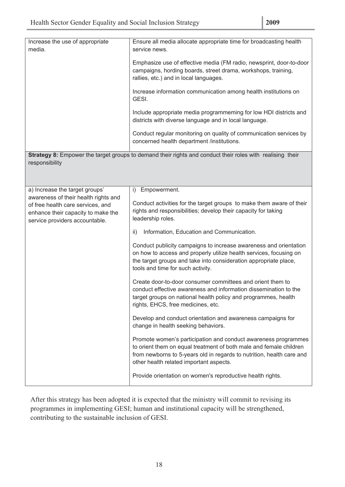| Increase the use of appropriate<br>media.                                                                 | Ensure all media allocate appropriate time for broadcasting health<br>service news.                                                                                                                                                                      |
|-----------------------------------------------------------------------------------------------------------|----------------------------------------------------------------------------------------------------------------------------------------------------------------------------------------------------------------------------------------------------------|
|                                                                                                           | Emphasize use of effective media (FM radio, newsprint, door-to-door                                                                                                                                                                                      |
|                                                                                                           | campaigns, hording boards, street drama, workshops, training,<br>rallies, etc.) and in local languages.                                                                                                                                                  |
|                                                                                                           | Increase information communication among health institutions on<br>GESI.                                                                                                                                                                                 |
|                                                                                                           | Include appropriate media programmeming for low HDI districts and<br>districts with diverse language and in local language.                                                                                                                              |
|                                                                                                           | Conduct regular monitoring on quality of communication services by<br>concerned health department /institutions.                                                                                                                                         |
| responsibility                                                                                            | Strategy 8: Empower the target groups to demand their rights and conduct their roles with realising their                                                                                                                                                |
|                                                                                                           |                                                                                                                                                                                                                                                          |
|                                                                                                           |                                                                                                                                                                                                                                                          |
| a) Increase the target groups'<br>awareness of their health rights and                                    | Empowerment.<br>i)                                                                                                                                                                                                                                       |
| of free health care services, and<br>enhance their capacity to make the<br>service providers accountable. | Conduct activities for the target groups to make them aware of their<br>rights and responsibilities; develop their capacity for taking<br>leadership roles.                                                                                              |
|                                                                                                           | Information, Education and Communication.<br>ii)                                                                                                                                                                                                         |
|                                                                                                           | Conduct publicity campaigns to increase awareness and orientation<br>on how to access and properly utilize health services, focusing on<br>the target groups and take into consideration appropriate place,<br>tools and time for such activity.         |
|                                                                                                           | Create door-to-door consumer committees and orient them to<br>conduct effective awareness and information dissemination to the<br>target groups on national health policy and programmes, health<br>rights, EHCS, free medicines, etc.                   |
|                                                                                                           | Develop and conduct orientation and awareness campaigns for<br>change in health seeking behaviors.                                                                                                                                                       |
|                                                                                                           | Promote women's participation and conduct awareness programmes<br>to orient them on equal treatment of both male and female children<br>from newborns to 5-years old in regards to nutrition, health care and<br>other health related important aspects. |
|                                                                                                           | Provide orientation on women's reproductive health rights.                                                                                                                                                                                               |

After this strategy has been adopted it is expected that the ministry will commit to revising its programmes in implementing GESI; human and institutional capacity will be strengthened, contributing to the sustainable inclusion of GESI.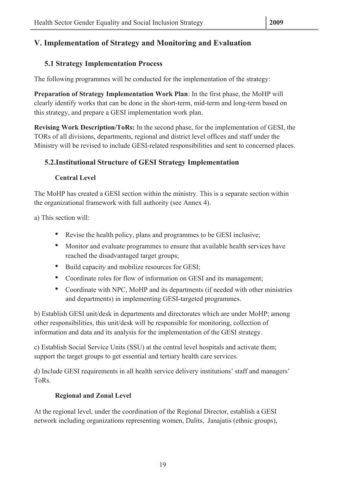## **5.1 Strategy Implementation Process**

The following programmes will be conducted for the implementation of the strategy:

**Preparation of Strategy Implementation Work Plan**: In the first phase, the MoHP will clearly identify works that can be done in the short-term, mid-term and long-term based on this strategy, and prepare a GESI implementation work plan.

**Revising Work Description/ToRs:** In the second phase, for the implementation of GESI, the TORs of all divisions, departments, regional and district level offices and staff under the Ministry will be revised to include GESI-related responsibilities and sent to concerned places.

## **5.2.Institutional Structure of GESI Strategy Implementation**

## **Central Level**

The MoHP has created a GESI section within the ministry. This is a separate section within the organizational framework with full authority (see Annex 4).

a) This section will:

- Revise the health policy, plans and programmes to be GESI inclusive;
- Monitor and evaluate programmes to ensure that available health services have reached the disadvantaged target groups;
- Build capacity and mobilize resources for GESI;
- Coordinate roles for flow of information on GESI and its management;
- Coordinate with NPC, MoHP and its departments (if needed with other ministries and departments) in implementing GESI-targeted programmes.

b) Establish GESI unit/desk in departments and directorates which are under MoHP; among other responsibilities, this unit/desk will be responsible for monitoring, collection of information and data and its analysis for the implementation of the GESI strategy.

c) Establish Social Service Units (SSU) at the central level hospitals and activate them; support the target groups to get essential and tertiary health care services.

d) Include GESI requirements in all health service delivery institutions' staff and managers' ToRs.

## **Regional and Zonal Level**

At the regional level, under the coordination of the Regional Director, establish a GESI network including organizations representing women, Dalits, Janajatis (ethnic groups),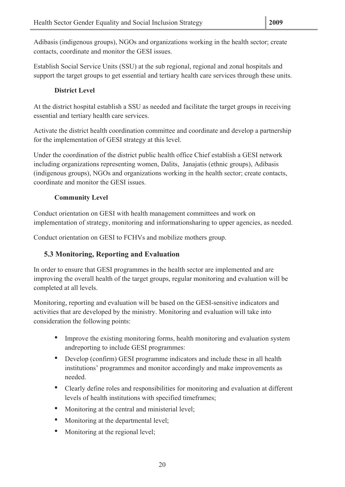Adibasis (indigenous groups), NGOs and organizations working in the health sector; create contacts, coordinate and monitor the GESI issues.

Establish Social Service Units (SSU) at the sub regional, regional and zonal hospitals and support the target groups to get essential and tertiary health care services through these units.

## **District Level**

At the district hospital establish a SSU as needed and facilitate the target groups in receiving essential and tertiary health care services.

Activate the district health coordination committee and coordinate and develop a partnership for the implementation of GESI strategy at this level.

Under the coordination of the district public health office Chief establish a GESI network including organizations representing women, Dalits, Janajatis (ethnic groups), Adibasis (indigenous groups), NGOs and organizations working in the health sector; create contacts, coordinate and monitor the GESI issues.

#### **Community Level**

Conduct orientation on GESI with health management committees and work on implementation of strategy, monitoring and informationsharing to upper agencies, as needed.

Conduct orientation on GESI to FCHVs and mobilize mothers group.

## **5.3 Monitoring, Reporting and Evaluation**

In order to ensure that GESI programmes in the health sector are implemented and are improving the overall health of the target groups, regular monitoring and evaluation will be completed at all levels.

Monitoring, reporting and evaluation will be based on the GESI-sensitive indicators and activities that are developed by the ministry. Monitoring and evaluation will take into consideration the following points:

- Improve the existing monitoring forms, health monitoring and evaluation system andreporting to include GESI programmes:
- Develop (confirm) GESI programme indicators and include these in all health institutions' programmes and monitor accordingly and make improvements as needed.
- Clearly define roles and responsibilities for monitoring and evaluation at different levels of health institutions with specified timeframes;
- Monitoring at the central and ministerial level;
- Monitoring at the departmental level;
- Monitoring at the regional level;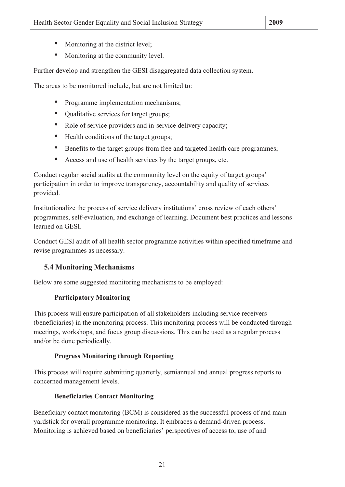- Monitoring at the district level;
- Monitoring at the community level.

Further develop and strengthen the GESI disaggregated data collection system.

The areas to be monitored include, but are not limited to:

- Programme implementation mechanisms;
- Qualitative services for target groups;
- Role of service providers and in-service delivery capacity;
- Health conditions of the target groups;
- Benefits to the target groups from free and targeted health care programmes;
- Access and use of health services by the target groups, etc.

Conduct regular social audits at the community level on the equity of target groups' participation in order to improve transparency, accountability and quality of services provided.

Institutionalize the process of service delivery institutions' cross review of each others' programmes, self-evaluation, and exchange of learning. Document best practices and lessons learned on GESI.

Conduct GESI audit of all health sector programme activities within specified timeframe and revise programmes as necessary.

## **5.4 Monitoring Mechanisms**

Below are some suggested monitoring mechanisms to be employed:

#### **Participatory Monitoring**

This process will ensure participation of all stakeholders including service receivers (beneficiaries) in the monitoring process. This monitoring process will be conducted through meetings, workshops, and focus group discussions. This can be used as a regular process and/or be done periodically.

#### **Progress Monitoring through Reporting**

This process will require submitting quarterly, semiannual and annual progress reports to concerned management levels.

#### **Beneficiaries Contact Monitoring**

Beneficiary contact monitoring (BCM) is considered as the successful process of and main yardstick for overall programme monitoring. It embraces a demand-driven process. Monitoring is achieved based on beneficiaries' perspectives of access to, use of and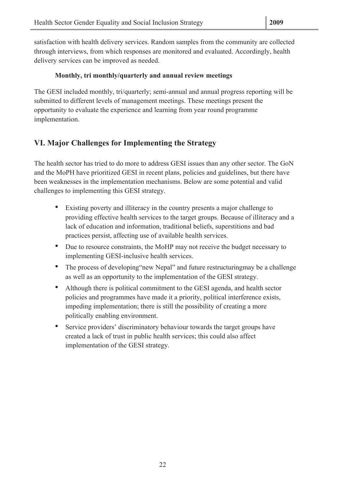satisfaction with health delivery services. Random samples from the community are collected through interviews, from which responses are monitored and evaluated. Accordingly, health delivery services can be improved as needed.

## **Monthly, tri monthly/quarterly and annual review meetings**

The GESI included monthly, tri/quarterly; semi-annual and annual progress reporting will be submitted to different levels of management meetings. These meetings present the opportunity to evaluate the experience and learning from year round programme implementation.

## **VI. Major Challenges for Implementing the Strategy**

The health sector has tried to do more to address GESI issues than any other sector. The GoN and the MoPH have prioritized GESI in recent plans, policies and guidelines, but there have been weaknesses in the implementation mechanisms. Below are some potential and valid challenges to implementing this GESI strategy.

- Existing poverty and illiteracy in the country presents a major challenge to providing effective health services to the target groups. Because of illiteracy and a lack of education and information, traditional beliefs, superstitions and bad practices persist, affecting use of available health services.
- Due to resource constraints, the MoHP may not receive the budget necessary to implementing GESI-inclusive health services.
- The process of developing "new Nepal" and future restructuring may be a challenge as well as an opportunity to the implementation of the GESI strategy.
- Although there is political commitment to the GESI agenda, and health sector policies and programmes have made it a priority, political interference exists, impeding implementation; there is still the possibility of creating a more politically enabling environment.
- Service providers' discriminatory behaviour towards the target groups have created a lack of trust in public health services; this could also affect implementation of the GESI strategy.